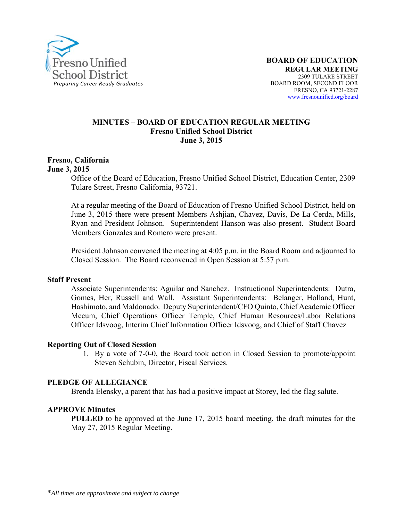

### **MINUTES – BOARD OF EDUCATION REGULAR MEETING Fresno Unified School District June 3, 2015**

#### **Fresno, California June 3, 2015**

Office of the Board of Education, Fresno Unified School District, Education Center, 2309 Tulare Street, Fresno California, 93721.

At a regular meeting of the Board of Education of Fresno Unified School District, held on June 3, 2015 there were present Members Ashjian, Chavez, Davis, De La Cerda, Mills, Ryan and President Johnson. Superintendent Hanson was also present. Student Board Members Gonzales and Romero were present.

President Johnson convened the meeting at 4:05 p.m. in the Board Room and adjourned to Closed Session. The Board reconvened in Open Session at 5:57 p.m.

### **Staff Present**

Associate Superintendents: Aguilar and Sanchez. Instructional Superintendents: Dutra, Gomes, Her, Russell and Wall. Assistant Superintendents: Belanger, Holland, Hunt, Hashimoto, and Maldonado. Deputy Superintendent/CFO Quinto, Chief Academic Officer Mecum, Chief Operations Officer Temple, Chief Human Resources/Labor Relations Officer Idsvoog, Interim Chief Information Officer Idsvoog, and Chief of Staff Chavez

### **Reporting Out of Closed Session**

1. By a vote of 7-0-0, the Board took action in Closed Session to promote/appoint Steven Schubin, Director, Fiscal Services.

### **PLEDGE OF ALLEGIANCE**

Brenda Elensky, a parent that has had a positive impact at Storey, led the flag salute.

### **APPROVE Minutes**

**PULLED** to be approved at the June 17, 2015 board meeting, the draft minutes for the May 27, 2015 Regular Meeting.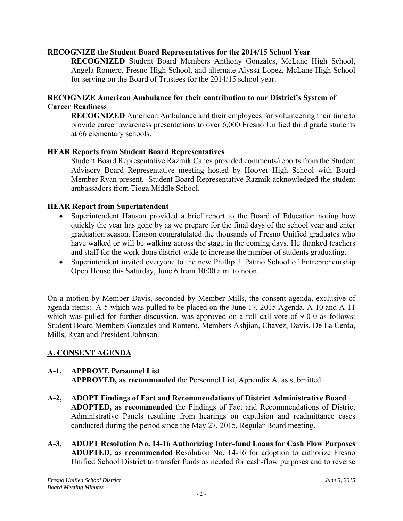## **RECOGNIZE the Student Board Representatives for the 2014/15 School Year**

**RECOGNIZED** Student Board Members Anthony Gonzales, McLane High School, Angela Romero, Fresno High School, and alternate Alyssa Lopez, McLane High School for serving on the Board of Trustees for the 2014/15 school year.

### **RECOGNIZE American Ambulance for their contribution to our District's System of Career Readiness**

**RECOGNIZED** American Ambulance and their employees for volunteering their time to provide career awareness presentations to over 6,000 Fresno Unified third grade students at 66 elementary schools.

### **HEAR Reports from Student Board Representatives**

Student Board Representative Razmik Canes provided comments/reports from the Student Advisory Board Representative meeting hosted by Hoover High School with Board Member Ryan present. Student Board Representative Razmik acknowledged the student ambassadors from Tioga Middle School.

### **HEAR Report from Superintendent**

- Superintendent Hanson provided a brief report to the Board of Education noting how quickly the year has gone by as we prepare for the final days of the school year and enter graduation season. Hanson congratulated the thousands of Fresno Unified graduates who have walked or will be walking across the stage in the coming days. He thanked teachers and staff for the work done district-wide to increase the number of students graduating.
- Superintendent invited everyone to the new Phillip J. Patino School of Entrepreneurship Open House this Saturday, June 6 from 10:00 a.m. to noon.

On a motion by Member Davis, seconded by Member Mills, the consent agenda, exclusive of agenda items: A-5 which was pulled to be placed on the June 17, 2015 Agenda, A-10 and A-11 which was pulled for further discussion, was approved on a roll call vote of 9-0-0 as follows: Student Board Members Gonzales and Romero, Members Ashjian, Chavez, Davis, De La Cerda, Mills, Ryan and President Johnson.

# **A. CONSENT AGENDA**

# **A-1, APPROVE Personnel List**

**APPROVED, as recommended** the Personnel List, Appendix A, as submitted.

- **A-2, ADOPT Findings of Fact and Recommendations of District Administrative Board ADOPTED, as recommended** the Findings of Fact and Recommendations of District Administrative Panels resulting from hearings on expulsion and readmittance cases conducted during the period since the May 27, 2015, Regular Board meeting.
- **A-3, ADOPT Resolution No. 14-16 Authorizing Inter-fund Loans for Cash Flow Purposes ADOPTED, as recommended** Resolution No. 14-16 for adoption to authorize Fresno Unified School District to transfer funds as needed for cash-flow purposes and to reverse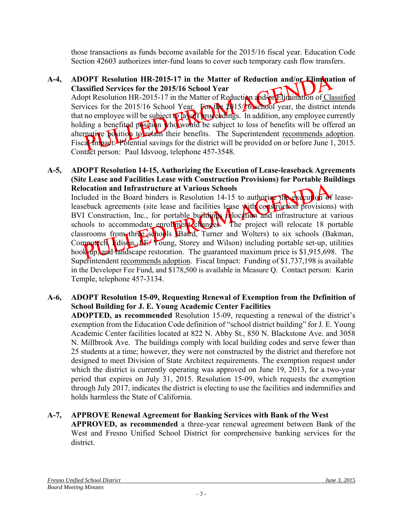those transactions as funds become available for the 2015/16 fiscal year. Education Code Section 42603 authorizes inter-fund loans to cover such temporary cash flow transfers.

## **A-4, ADOPT Resolution HR-2015-17 in the Matter of Reduction and/or Elimination of Classified Services for the 2015/16 School Year**

Adopt Resolution HR-2015-17 in the Matter of Reduction and for Elimination of Classified Services for the 2015/16 School Year. For the 2015/16 school year, the district intends that no employee will be subject to layer proceedings. In addition, any employee currently holding a benefited position who would be subject to loss of benefits will be offered an alternative position to retain their benefits. The Superintendent recommends adoption. Fiscal Impact: Potential savings for the district will be provided on or before June 1, 2015. Contact person: Paul Idsvoog, telephone 457-3548.

## **A-5, ADOPT Resolution 14-15, Authorizing the Execution of Lease-leaseback Agreements (Site Lease and Facilities Lease with Construction Provisions) for Portable Buildings Relocation and Infrastructure at Various Schools**

Included in the Board binders is Resolution 14-15 to authorize the execution of leaseleaseback agreements (site lease and facilities lease with construction provisions) with BVI Construction, Inc., for portable buildings relocation and infrastructure at various schools to accommodate enrollment changes. The project will relocate 18 portable classrooms from three schools (Baird, Turner and Wolters) to six schools (Bakman, Computech, Edison, J.E. Young, Storey and Wilson) including portable set-up, utilities hook-up, and landscape restoration. The guaranteed maximum price is \$1,915,698. The Superintendent recommends adoption. Fiscal Impact: Funding of \$1,737,198 is available in the Developer Fee Fund, and \$178,500 is available in Measure Q. Contact person: Karin Temple, telephone 457-3134.

## **A-6, ADOPT Resolution 15-09, Requesting Renewal of Exemption from the Definition of School Building for J. E. Young Academic Center Facilities**

**ADOPTED, as recommended** Resolution 15-09, requesting a renewal of the district's exemption from the Education Code definition of "school district building" for J. E. Young Academic Center facilities located at 822 N. Abby St., 850 N. Blackstone Ave. and 3058 N. Millbrook Ave. The buildings comply with local building codes and serve fewer than 25 students at a time; however, they were not constructed by the district and therefore not designed to meet Division of State Architect requirements. The exemption request under which the district is currently operating was approved on June 19, 2013, for a two-year period that expires on July 31, 2015. Resolution 15-09, which requests the exemption through July 2017, indicates the district is electing to use the facilities and indemnifies and holds harmless the State of California.

# **A-7, APPROVE Renewal Agreement for Banking Services with Bank of the West**

**APPROVED, as recommended** a three-year renewal agreement between Bank of the West and Fresno Unified School District for comprehensive banking services for the district.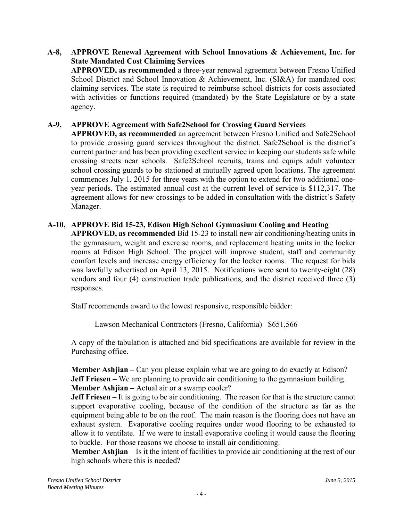## **A-8, APPROVE Renewal Agreement with School Innovations & Achievement, Inc. for State Mandated Cost Claiming Services**

**APPROVED, as recommended** a three-year renewal agreement between Fresno Unified School District and School Innovation & Achievement, Inc. (SI&A) for mandated cost claiming services. The state is required to reimburse school districts for costs associated with activities or functions required (mandated) by the State Legislature or by a state agency.

# **A-9, APPROVE Agreement with Safe2School for Crossing Guard Services**

**APPROVED, as recommended** an agreement between Fresno Unified and Safe2School to provide crossing guard services throughout the district. Safe2School is the district's current partner and has been providing excellent service in keeping our students safe while crossing streets near schools. Safe2School recruits, trains and equips adult volunteer school crossing guards to be stationed at mutually agreed upon locations. The agreement commences July 1, 2015 for three years with the option to extend for two additional oneyear periods. The estimated annual cost at the current level of service is \$112,317. The agreement allows for new crossings to be added in consultation with the district's Safety Manager.

## **A-10, APPROVE Bid 15-23, Edison High School Gymnasium Cooling and Heating**

**APPROVED, as recommended** Bid 15-23 to install new air conditioning/heating units in the gymnasium, weight and exercise rooms, and replacement heating units in the locker rooms at Edison High School. The project will improve student, staff and community comfort levels and increase energy efficiency for the locker rooms. The request for bids was lawfully advertised on April 13, 2015. Notifications were sent to twenty-eight (28) vendors and four (4) construction trade publications, and the district received three (3) responses.

Staff recommends award to the lowest responsive, responsible bidder:

Lawson Mechanical Contractors (Fresno, California) \$651,566

A copy of the tabulation is attached and bid specifications are available for review in the Purchasing office.

**Member Ashjian** – Can you please explain what we are going to do exactly at Edison? **Jeff Friesen** – We are planning to provide air conditioning to the gymnasium building. **Member Ashjian –** Actual air or a swamp cooler?

**Jeff Friesen** – It is going to be air conditioning. The reason for that is the structure cannot support evaporative cooling, because of the condition of the structure as far as the equipment being able to be on the roof. The main reason is the flooring does not have an exhaust system. Evaporative cooling requires under wood flooring to be exhausted to allow it to ventilate. If we were to install evaporative cooling it would cause the flooring to buckle. For those reasons we choose to install air conditioning.

**Member Ashjian** – Is it the intent of facilities to provide air conditioning at the rest of our high schools where this is needed?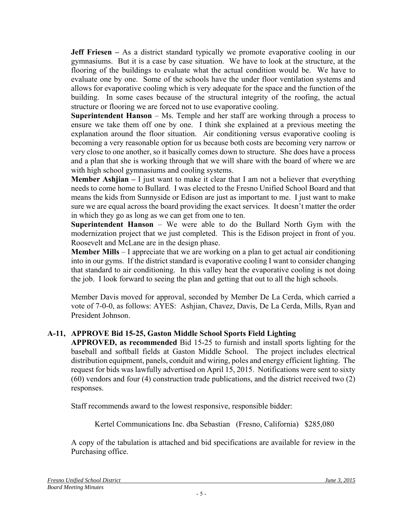**Jeff Friesen** – As a district standard typically we promote evaporative cooling in our gymnasiums.But it is a case by case situation. We have to look at the structure, at the flooring of the buildings to evaluate what the actual condition would be. We have to evaluate one by one. Some of the schools have the under floor ventilation systems and allows for evaporative cooling which is very adequate for the space and the function of the building. In some cases because of the structural integrity of the roofing, the actual structure or flooring we are forced not to use evaporative cooling.

**Superintendent Hanson** – Ms. Temple and her staff are working through a process to ensure we take them off one by one. I think she explained at a previous meeting the explanation around the floor situation. Air conditioning versus evaporative cooling is becoming a very reasonable option for us because both costs are becoming very narrow or very close to one another, so it basically comes down to structure. She does have a process and a plan that she is working through that we will share with the board of where we are with high school gymnasiums and cooling systems.

**Member Ashjian** – I just want to make it clear that I am not a believer that everything needs to come home to Bullard. I was elected to the Fresno Unified School Board and that means the kids from Sunnyside or Edison are just as important to me. I just want to make sure we are equal across the board providing the exact services. It doesn't matter the order in which they go as long as we can get from one to ten.

**Superintendent Hanson** – We were able to do the Bullard North Gym with the modernization project that we just completed. This is the Edison project in front of you. Roosevelt and McLane are in the design phase.

**Member Mills** – I appreciate that we are working on a plan to get actual air conditioning into in our gyms. If the district standard is evaporative cooling I want to consider changing that standard to air conditioning. In this valley heat the evaporative cooling is not doing the job. I look forward to seeing the plan and getting that out to all the high schools.

Member Davis moved for approval, seconded by Member De La Cerda, which carried a vote of 7-0-0, as follows: AYES: Ashjian, Chavez, Davis, De La Cerda, Mills, Ryan and President Johnson.

# **A-11, APPROVE Bid 15-25, Gaston Middle School Sports Field Lighting**

**APPROVED, as recommended** Bid 15-25 to furnish and install sports lighting for the baseball and softball fields at Gaston Middle School. The project includes electrical distribution equipment, panels, conduit and wiring, poles and energy efficient lighting. The request for bids was lawfully advertised on April 15, 2015. Notifications were sent to sixty (60) vendors and four (4) construction trade publications, and the district received two (2) responses.

Staff recommends award to the lowest responsive, responsible bidder:

Kertel Communications Inc. dba Sebastian (Fresno, California) \$285,080

A copy of the tabulation is attached and bid specifications are available for review in the Purchasing office.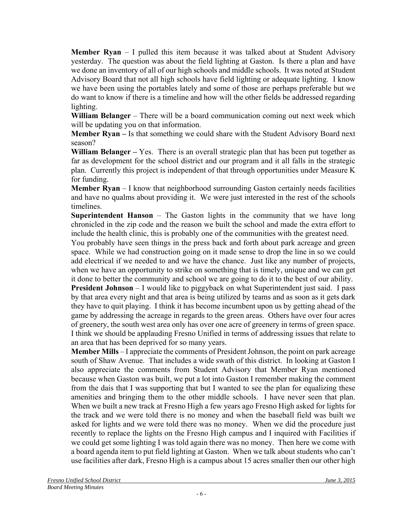**Member Ryan** – I pulled this item because it was talked about at Student Advisory yesterday. The question was about the field lighting at Gaston. Is there a plan and have we done an inventory of all of our high schools and middle schools. It was noted at Student Advisory Board that not all high schools have field lighting or adequate lighting. I know we have been using the portables lately and some of those are perhaps preferable but we do want to know if there is a timeline and how will the other fields be addressed regarding lighting.

**William Belanger** – There will be a board communication coming out next week which will be updating you on that information.

**Member Ryan –** Is that something we could share with the Student Advisory Board next season?

**William Belanger –** Yes. There is an overall strategic plan that has been put together as far as development for the school district and our program and it all falls in the strategic plan. Currently this project is independent of that through opportunities under Measure K for funding.

**Member Ryan** – I know that neighborhood surrounding Gaston certainly needs facilities and have no qualms about providing it. We were just interested in the rest of the schools timelines.

**Superintendent Hanson** – The Gaston lights in the community that we have long chronicled in the zip code and the reason we built the school and made the extra effort to include the health clinic, this is probably one of the communities with the greatest need.

You probably have seen things in the press back and forth about park acreage and green space. While we had construction going on it made sense to drop the line in so we could add electrical if we needed to and we have the chance. Just like any number of projects, when we have an opportunity to strike on something that is timely, unique and we can get it done to better the community and school we are going to do it to the best of our ability.

**President Johnson** – I would like to piggyback on what Superintendent just said. I pass by that area every night and that area is being utilized by teams and as soon as it gets dark they have to quit playing. I think it has become incumbent upon us by getting ahead of the game by addressing the acreage in regards to the green areas. Others have over four acres of greenery, the south west area only has over one acre of greenery in terms of green space. I think we should be applauding Fresno Unified in terms of addressing issues that relate to an area that has been deprived for so many years.

**Member Mills** – I appreciate the comments of President Johnson, the point on park acreage south of Shaw Avenue. That includes a wide swath of this district. In looking at Gaston I also appreciate the comments from Student Advisory that Member Ryan mentioned because when Gaston was built, we put a lot into Gaston I remember making the comment from the dais that I was supporting that but I wanted to see the plan for equalizing these amenities and bringing them to the other middle schools. I have never seen that plan. When we built a new track at Fresno High a few years ago Fresno High asked for lights for the track and we were told there is no money and when the baseball field was built we asked for lights and we were told there was no money. When we did the procedure just recently to replace the lights on the Fresno High campus and I inquired with Facilities if we could get some lighting I was told again there was no money. Then here we come with a board agenda item to put field lighting at Gaston. When we talk about students who can't use facilities after dark, Fresno High is a campus about 15 acres smaller then our other high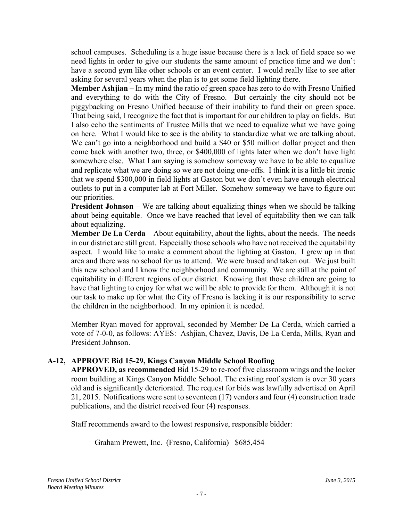school campuses. Scheduling is a huge issue because there is a lack of field space so we need lights in order to give our students the same amount of practice time and we don't have a second gym like other schools or an event center. I would really like to see after asking for several years when the plan is to get some field lighting there.

**Member Ashjian** – In my mind the ratio of green space has zero to do with Fresno Unified and everything to do with the City of Fresno. But certainly the city should not be piggybacking on Fresno Unified because of their inability to fund their on green space. That being said, I recognize the fact that is important for our children to play on fields. But I also echo the sentiments of Trustee Mills that we need to equalize what we have going on here. What I would like to see is the ability to standardize what we are talking about. We can't go into a neighborhood and build a \$40 or \$50 million dollar project and then come back with another two, three, or \$400,000 of lights later when we don't have light somewhere else. What I am saying is somehow someway we have to be able to equalize and replicate what we are doing so we are not doing one-offs. I think it is a little bit ironic that we spend \$300,000 in field lights at Gaston but we don't even have enough electrical outlets to put in a computer lab at Fort Miller. Somehow someway we have to figure out our priorities.

**President Johnson** – We are talking about equalizing things when we should be talking about being equitable. Once we have reached that level of equitability then we can talk about equalizing.

**Member De La Cerda** – About equitability, about the lights, about the needs. The needs in our district are still great. Especially those schools who have not received the equitability aspect. I would like to make a comment about the lighting at Gaston. I grew up in that area and there was no school for us to attend. We were bused and taken out. We just built this new school and I know the neighborhood and community. We are still at the point of equitability in different regions of our district. Knowing that those children are going to have that lighting to enjoy for what we will be able to provide for them. Although it is not our task to make up for what the City of Fresno is lacking it is our responsibility to serve the children in the neighborhood. In my opinion it is needed.

Member Ryan moved for approval, seconded by Member De La Cerda, which carried a vote of 7-0-0, as follows: AYES: Ashjian, Chavez, Davis, De La Cerda, Mills, Ryan and President Johnson.

# **A-12, APPROVE Bid 15-29, Kings Canyon Middle School Roofing**

**APPROVED, as recommended** Bid 15-29 to re-roof five classroom wings and the locker room building at Kings Canyon Middle School. The existing roof system is over 30 years old and is significantly deteriorated. The request for bids was lawfully advertised on April 21, 2015. Notifications were sent to seventeen (17) vendors and four (4) construction trade publications, and the district received four (4) responses.

Staff recommends award to the lowest responsive, responsible bidder:

Graham Prewett, Inc. (Fresno, California) \$685,454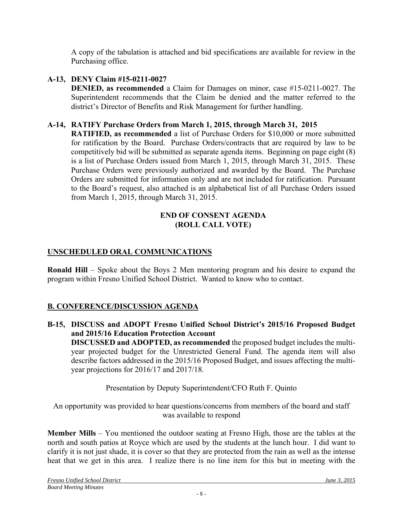A copy of the tabulation is attached and bid specifications are available for review in the Purchasing office.

**A-13, DENY Claim #15-0211-0027 DENIED, as recommended** a Claim for Damages on minor, case #15-0211-0027. The Superintendent recommends that the Claim be denied and the matter referred to the district's Director of Benefits and Risk Management for further handling.

## **A-14, RATIFY Purchase Orders from March 1, 2015, through March 31, 2015**

**RATIFIED, as recommended** a list of Purchase Orders for \$10,000 or more submitted for ratification by the Board. Purchase Orders/contracts that are required by law to be competitively bid will be submitted as separate agenda items. Beginning on page eight (8) is a list of Purchase Orders issued from March 1, 2015, through March 31, 2015. These Purchase Orders were previously authorized and awarded by the Board. The Purchase Orders are submitted for information only and are not included for ratification. Pursuant to the Board's request, also attached is an alphabetical list of all Purchase Orders issued from March 1, 2015, through March 31, 2015.

### **END OF CONSENT AGENDA (ROLL CALL VOTE)**

# **UNSCHEDULED ORAL COMMUNICATIONS**

**Ronald Hill** – Spoke about the Boys 2 Men mentoring program and his desire to expand the program within Fresno Unified School District. Wanted to know who to contact.

# **B. CONFERENCE/DISCUSSION AGENDA**

**B-15, DISCUSS and ADOPT Fresno Unified School District's 2015/16 Proposed Budget and 2015/16 Education Protection Account DISCUSSED and ADOPTED, as recommended** the proposed budget includes the multiyear projected budget for the Unrestricted General Fund. The agenda item will also describe factors addressed in the 2015/16 Proposed Budget, and issues affecting the multiyear projections for 2016/17 and 2017/18.

Presentation by Deputy Superintendent/CFO Ruth F. Quinto

An opportunity was provided to hear questions/concerns from members of the board and staff was available to respond

**Member Mills** – You mentioned the outdoor seating at Fresno High, those are the tables at the north and south patios at Royce which are used by the students at the lunch hour. I did want to clarify it is not just shade, it is cover so that they are protected from the rain as well as the intense heat that we get in this area. I realize there is no line item for this but in meeting with the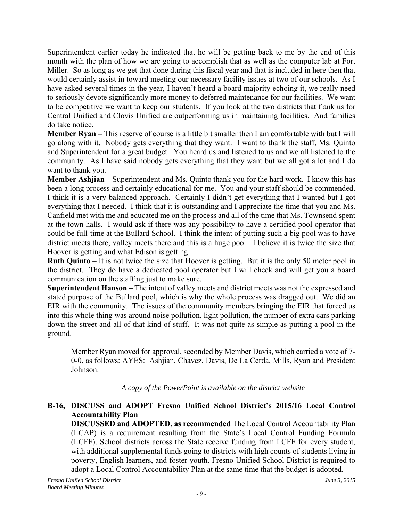Superintendent earlier today he indicated that he will be getting back to me by the end of this month with the plan of how we are going to accomplish that as well as the computer lab at Fort Miller. So as long as we get that done during this fiscal year and that is included in here then that would certainly assist in toward meeting our necessary facility issues at two of our schools. As I have asked several times in the year, I haven't heard a board majority echoing it, we really need to seriously devote significantly more money to deferred maintenance for our facilities. We want to be competitive we want to keep our students. If you look at the two districts that flank us for Central Unified and Clovis Unified are outperforming us in maintaining facilities. And families do take notice.

**Member Ryan –** This reserve of course is a little bit smaller then I am comfortable with but I will go along with it. Nobody gets everything that they want. I want to thank the staff, Ms. Quinto and Superintendent for a great budget. You heard us and listened to us and we all listened to the community. As I have said nobody gets everything that they want but we all got a lot and I do want to thank you.

**Member Ashjian** – Superintendent and Ms. Quinto thank you for the hard work. I know this has been a long process and certainly educational for me. You and your staff should be commended. I think it is a very balanced approach. Certainly I didn't get everything that I wanted but I got everything that I needed. I think that it is outstanding and I appreciate the time that you and Ms. Canfield met with me and educated me on the process and all of the time that Ms. Townsend spent at the town halls. I would ask if there was any possibility to have a certified pool operator that could be full-time at the Bullard School. I think the intent of putting such a big pool was to have district meets there, valley meets there and this is a huge pool. I believe it is twice the size that Hoover is getting and what Edison is getting.

**Ruth Quinto** – It is not twice the size that Hoover is getting. But it is the only 50 meter pool in the district. They do have a dedicated pool operator but I will check and will get you a board communication on the staffing just to make sure.

**Superintendent Hanson –** The intent of valley meets and district meets was not the expressed and stated purpose of the Bullard pool, which is why the whole process was dragged out. We did an EIR with the community. The issues of the community members bringing the EIR that forced us into this whole thing was around noise pollution, light pollution, the number of extra cars parking down the street and all of that kind of stuff. It was not quite as simple as putting a pool in the ground.

Member Ryan moved for approval, seconded by Member Davis, which carried a vote of 7- 0-0, as follows: AYES: Ashjian, Chavez, Davis, De La Cerda, Mills, Ryan and President Johnson.

*A copy of the PowerPoint is available on the district website*

# **B-16, DISCUSS and ADOPT Fresno Unified School District's 2015/16 Local Control Accountability Plan**

**DISCUSSED and ADOPTED, as recommended** The Local Control Accountability Plan (LCAP) is a requirement resulting from the State's Local Control Funding Formula (LCFF). School districts across the State receive funding from LCFF for every student, with additional supplemental funds going to districts with high counts of students living in poverty, English learners, and foster youth. Fresno Unified School District is required to adopt a Local Control Accountability Plan at the same time that the budget is adopted.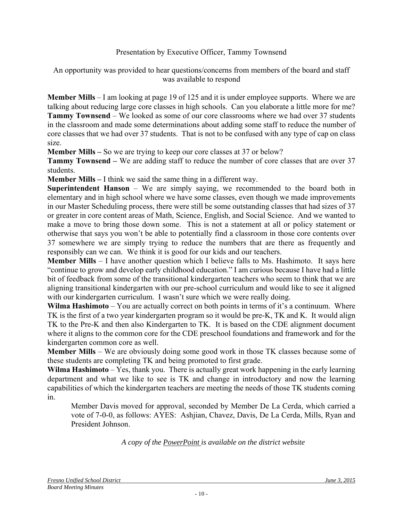# Presentation by Executive Officer, Tammy Townsend

## An opportunity was provided to hear questions/concerns from members of the board and staff was available to respond

**Member Mills** – I am looking at page 19 of 125 and it is under employee supports. Where we are talking about reducing large core classes in high schools. Can you elaborate a little more for me? **Tammy Townsend** – We looked as some of our core classrooms where we had over 37 students in the classroom and made some determinations about adding some staff to reduce the number of core classes that we had over 37 students. That is not to be confused with any type of cap on class size.

**Member Mills –** So we are trying to keep our core classes at 37 or below?

**Tammy Townsend –** We are adding staff to reduce the number of core classes that are over 37 students.

**Member Mills –** I think we said the same thing in a different way.

**Superintendent Hanson** – We are simply saying, we recommended to the board both in elementary and in high school where we have some classes, even though we made improvements in our Master Scheduling process, there were still be some outstanding classes that had sizes of 37 or greater in core content areas of Math, Science, English, and Social Science. And we wanted to make a move to bring those down some. This is not a statement at all or policy statement or otherwise that says you won't be able to potentially find a classroom in those core contents over 37 somewhere we are simply trying to reduce the numbers that are there as frequently and responsibly can we can. We think it is good for our kids and our teachers.

**Member Mills** – I have another question which I believe falls to Ms. Hashimoto. It says here "continue to grow and develop early childhood education." I am curious because I have had a little bit of feedback from some of the transitional kindergarten teachers who seem to think that we are aligning transitional kindergarten with our pre-school curriculum and would like to see it aligned with our kindergarten curriculum. I wasn't sure which we were really doing.

**Wilma Hashimoto** – You are actually correct on both points in terms of it's a continuum. Where TK is the first of a two year kindergarten program so it would be pre-K, TK and K. It would align TK to the Pre-K and then also Kindergarten to TK. It is based on the CDE alignment document where it aligns to the common core for the CDE preschool foundations and framework and for the kindergarten common core as well.

**Member Mills** – We are obviously doing some good work in those TK classes because some of these students are completing TK and being promoted to first grade.

**Wilma Hashimoto** – Yes, thank you. There is actually great work happening in the early learning department and what we like to see is TK and change in introductory and now the learning capabilities of which the kindergarten teachers are meeting the needs of those TK students coming in.

Member Davis moved for approval, seconded by Member De La Cerda, which carried a vote of 7-0-0, as follows: AYES: Ashjian, Chavez, Davis, De La Cerda, Mills, Ryan and President Johnson.

*A copy of the PowerPoint is available on the district website*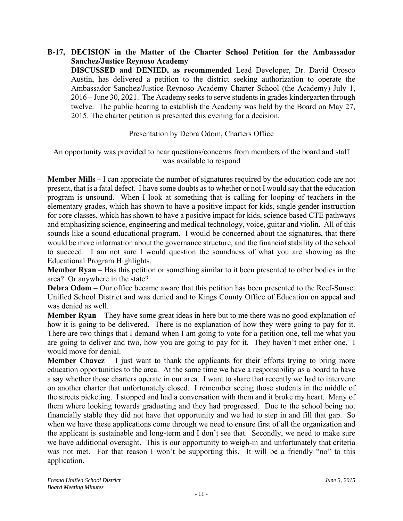**B-17, DECISION in the Matter of the Charter School Petition for the Ambassador Sanchez/Justice Reynoso Academy DISCUSSED and DENIED, as recommended** Lead Developer, Dr. David Orosco Austin, has delivered a petition to the district seeking authorization to operate the Ambassador Sanchez/Justice Reynoso Academy Charter School (the Academy) July 1, 2016 – June 30, 2021. The Academy seeks to serve students in grades kindergarten through twelve. The public hearing to establish the Academy was held by the Board on May 27, 2015. The charter petition is presented this evening for a decision.

# Presentation by Debra Odom, Charters Office

An opportunity was provided to hear questions/concerns from members of the board and staff was available to respond

**Member Mills** – I can appreciate the number of signatures required by the education code are not present, that is a fatal defect. I have some doubts as to whether or not I would say that the education program is unsound. When I look at something that is calling for looping of teachers in the elementary grades, which has shown to have a positive impact for kids, single gender instruction for core classes, which has shown to have a positive impact for kids, science based CTE pathways and emphasizing science, engineering and medical technology, voice, guitar and violin. All of this sounds like a sound educational program. I would be concerned about the signatures, that there would be more information about the governance structure, and the financial stability of the school to succeed. I am not sure I would question the soundness of what you are showing as the Educational Program Highlights.

**Member Ryan** – Has this petition or something similar to it been presented to other bodies in the area? Or anywhere in the state?

**Debra Odom** – Our office became aware that this petition has been presented to the Reef-Sunset Unified School District and was denied and to Kings County Office of Education on appeal and was denied as well.

**Member Ryan** – They have some great ideas in here but to me there was no good explanation of how it is going to be delivered. There is no explanation of how they were going to pay for it. There are two things that I demand when I am going to vote for a petition one, tell me what you are going to deliver and two, how you are going to pay for it. They haven't met either one. I would move for denial.

**Member Chavez** – I just want to thank the applicants for their efforts trying to bring more education opportunities to the area. At the same time we have a responsibility as a board to have a say whether those charters operate in our area. I want to share that recently we had to intervene on another charter that unfortunately closed. I remember seeing those students in the middle of the streets picketing. I stopped and had a conversation with them and it broke my heart. Many of them where looking towards graduating and they had progressed. Due to the school being not financially stable they did not have that opportunity and we had to step in and fill that gap. So when we have these applications come through we need to ensure first of all the organization and the applicant is sustainable and long-term and I don't see that. Secondly, we need to make sure we have additional oversight. This is our opportunity to weigh-in and unfortunately that criteria was not met. For that reason I won't be supporting this. It will be a friendly "no" to this application.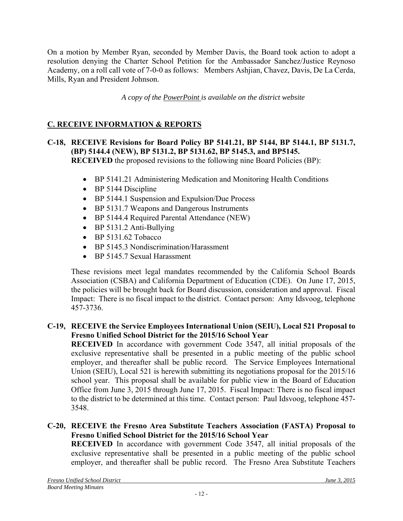On a motion by Member Ryan, seconded by Member Davis, the Board took action to adopt a resolution denying the Charter School Petition for the Ambassador Sanchez/Justice Reynoso Academy, on a roll call vote of 7-0-0 as follows: Members Ashjian, Chavez, Davis, De La Cerda, Mills, Ryan and President Johnson.

*A copy of the PowerPoint is available on the district website*

# **C. RECEIVE INFORMATION & REPORTS**

- **C-18, RECEIVE Revisions for Board Policy BP 5141.21, BP 5144, BP 5144.1, BP 5131.7, (BP) 5144.4 (NEW), BP 5131.2, BP 5131.62, BP 5145.3, and BP5145. RECEIVED** the proposed revisions to the following nine Board Policies (BP):
	- BP 5141.21 Administering Medication and Monitoring Health Conditions
	- BP 5144 Discipline
	- BP 5144.1 Suspension and Expulsion/Due Process
	- BP 5131.7 Weapons and Dangerous Instruments
	- BP 5144.4 Required Parental Attendance (NEW)
	- $\bullet$  BP 5131.2 Anti-Bullying
	- $\bullet$  BP 5131.62 Tobacco
	- BP 5145.3 Nondiscrimination/Harassment
	- BP 5145.7 Sexual Harassment

These revisions meet legal mandates recommended by the California School Boards Association (CSBA) and California Department of Education (CDE). On June 17, 2015, the policies will be brought back for Board discussion, consideration and approval. Fiscal Impact: There is no fiscal impact to the district. Contact person: Amy Idsvoog, telephone 457-3736.

## **C-19, RECEIVE the Service Employees International Union (SEIU), Local 521 Proposal to Fresno Unified School District for the 2015/16 School Year**

**RECEIVED** In accordance with government Code 3547, all initial proposals of the exclusive representative shall be presented in a public meeting of the public school employer, and thereafter shall be public record. The Service Employees International Union (SEIU), Local 521 is herewith submitting its negotiations proposal for the 2015/16 school year. This proposal shall be available for public view in the Board of Education Office from June 3, 2015 through June 17, 2015. Fiscal Impact: There is no fiscal impact to the district to be determined at this time. Contact person: Paul Idsvoog, telephone 457- 3548.

## **C-20, RECEIVE the Fresno Area Substitute Teachers Association (FASTA) Proposal to Fresno Unified School District for the 2015/16 School Year**

**RECEIVED** In accordance with government Code 3547, all initial proposals of the exclusive representative shall be presented in a public meeting of the public school employer, and thereafter shall be public record. The Fresno Area Substitute Teachers